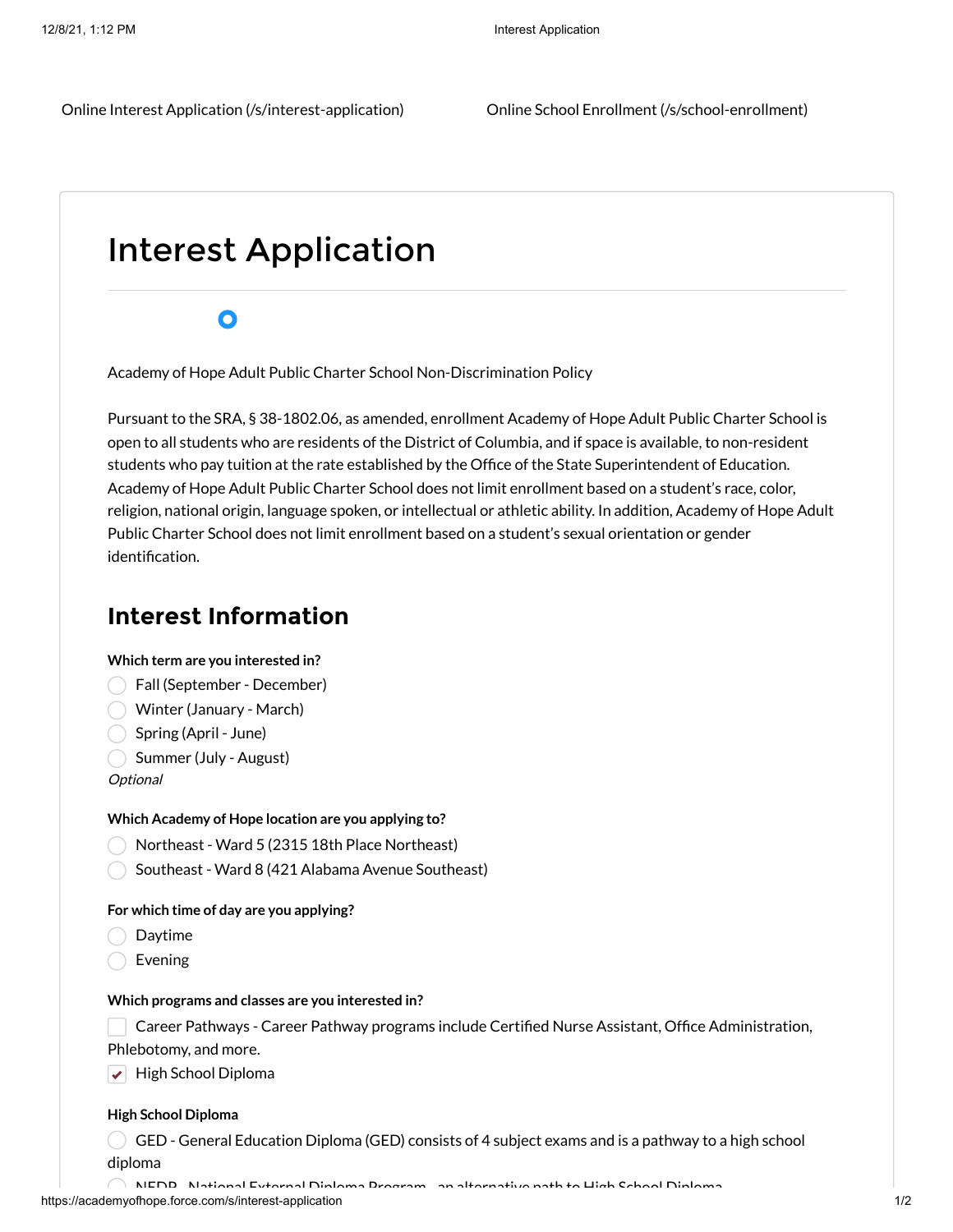# Interest Application

# $\bullet$

Academy of Hope Adult Public Charter School Non-Discrimination Policy

Pursuant to the SRA, § 38-1802.06, as amended, enrollment Academy of Hope Adult Public Charter School is open to all students who are residents of the District of Columbia, and if space is available, to non-resident students who pay tuition at the rate established by the Office of the State Superintendent of Education. Academy of Hope Adult Public Charter School does not limit enrollment based on a student's race, color, religion, national origin, language spoken, or intellectual or athletic ability. In addition, Academy of Hope Adult Public Charter School does not limit enrollment based on a student's sexual orientation or gender identification.

# **Interest Information**

## **Which term are you interested in?**

- Fall (September December)
- Winter (January March)
- Spring (April June)
- Summer (July August)

**Optional** 

## **Which Academy of Hope location are you applying to?**

- Northeast Ward 5 (2315 18th Place Northeast)
- Southeast Ward 8 (421 Alabama Avenue Southeast)

## **For which time of day are you applying?**

- Daytime
- Evening

#### **Which programs and classes are you interested in?**

Career Pathways - Career Pathway programs include Certified Nurse Assistant, Office Administration,

Phlebotomy, and more.

 $\blacktriangleright$  High School Diploma

#### **High School Diploma**

 $\overline{C}$  GED - General Education Diploma (GED) consists of 4 subject exams and is a pathway to a high school diploma

https://academyofhope.force.com/s/interest-application 1/2 NEDP National External Diploma Program an alternative path to High School Diploma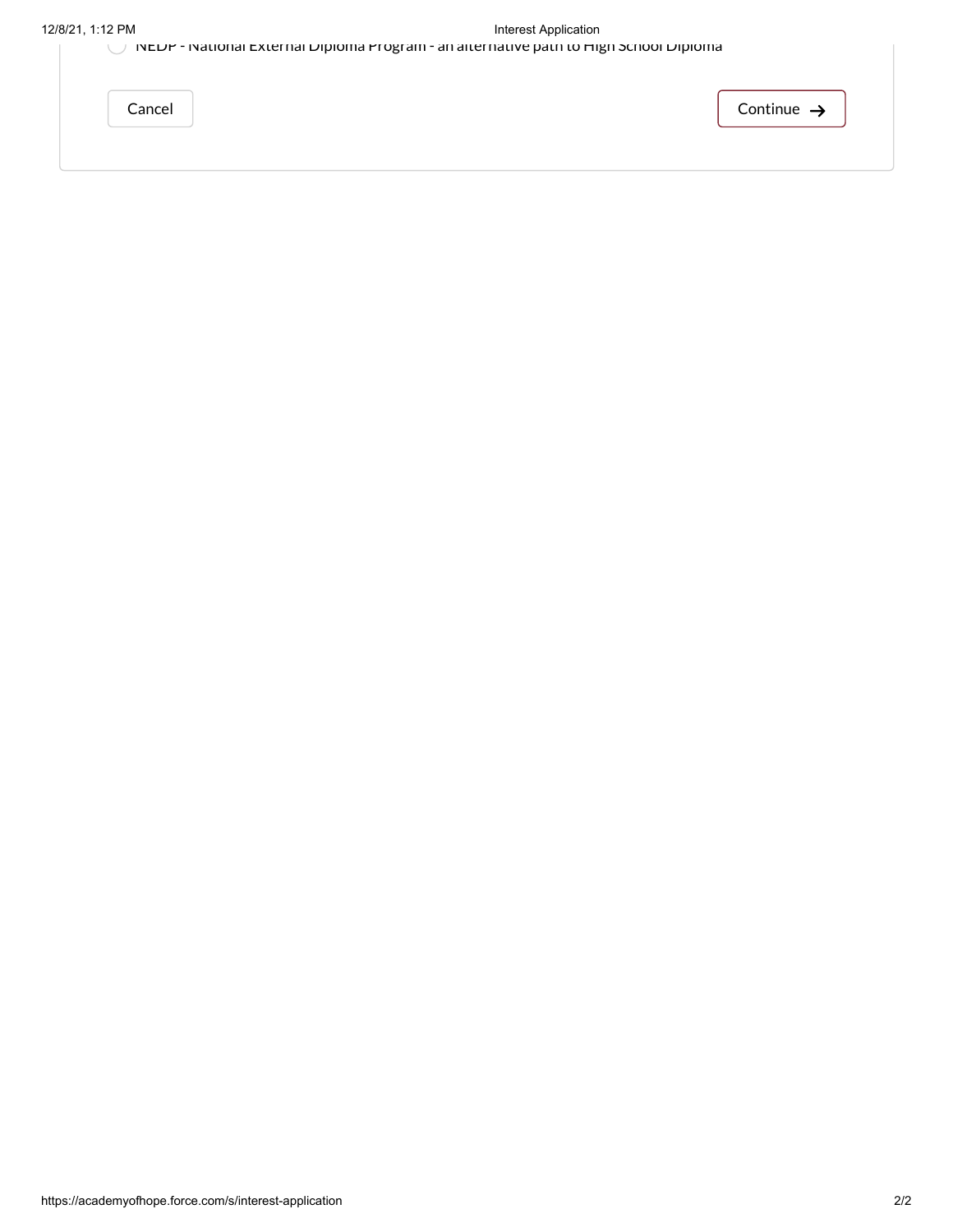|        | INCUP - INQUOIDE EXTERITED DIPIONE PLOGEONI - di che nature patri to filisi punon Dipione d |  |          |
|--------|---------------------------------------------------------------------------------------------|--|----------|
| Cancel |                                                                                             |  | Continue |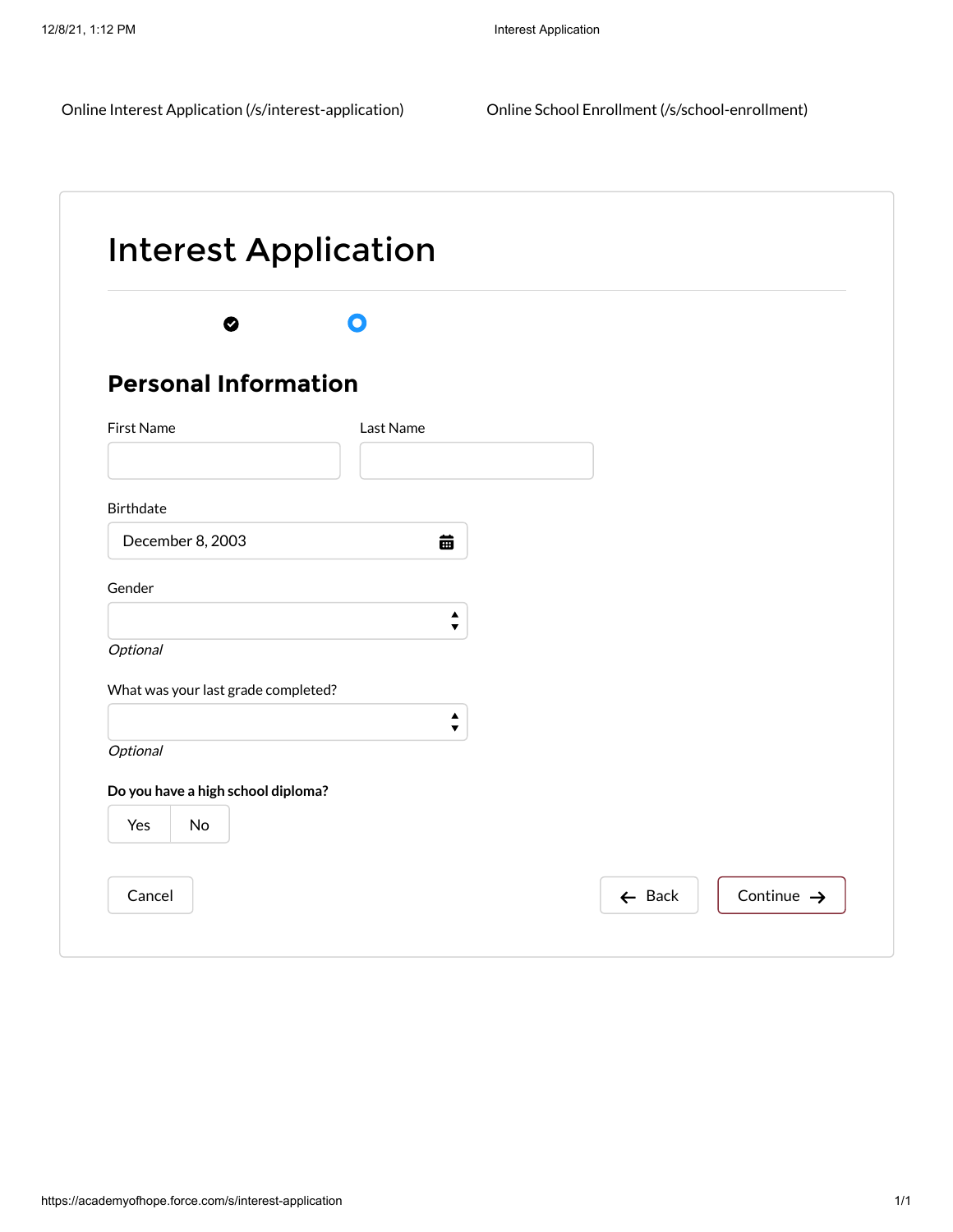Online [Interest](javascript:void(0);) Application [\(/s/interest-application\)](https://academyofhope.force.com/s/interest-application) Online School Enrollment [\(/s/school-enrollment\)](https://academyofhope.force.com/s/school-enrollment)

| ◙                                   | $\mathbf \Omega$                         |  |
|-------------------------------------|------------------------------------------|--|
| <b>Personal Information</b>         |                                          |  |
| First Name                          | Last Name                                |  |
| <b>Birthdate</b>                    |                                          |  |
| December 8, 2003                    | 苗                                        |  |
| Gender                              | $\blacktriangle$<br>$\blacktriangledown$ |  |
| Optional                            |                                          |  |
| What was your last grade completed? |                                          |  |
| Optional                            | $\blacktriangle$<br>$\blacktriangledown$ |  |
| Do you have a high school diploma?  |                                          |  |
|                                     |                                          |  |